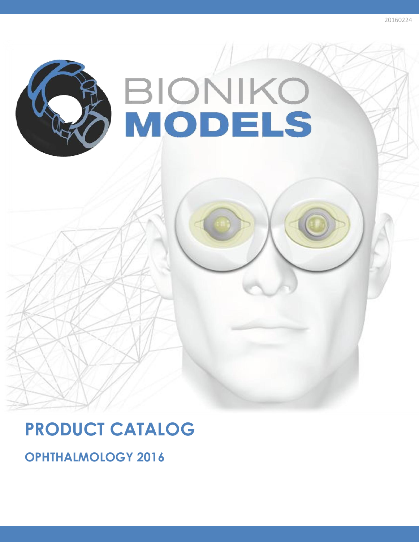

# **PRODUCT CATALOG**

**OPHTHALMOLOGY 2016**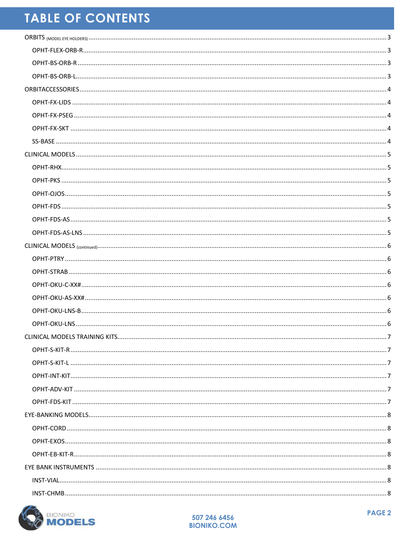## **TABLE OF CONTENTS**

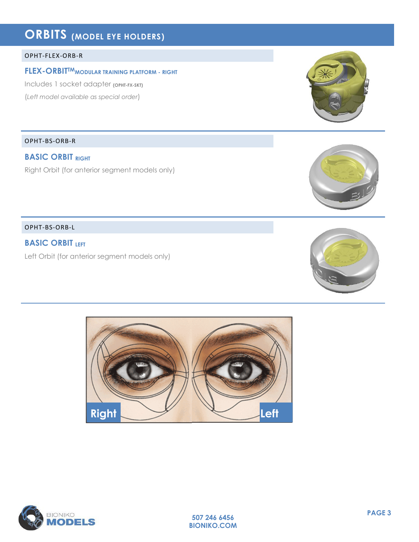## <span id="page-2-0"></span>**ORBITS (MODEL EYE HOLDERS)**

#### <span id="page-2-1"></span>OPHT-FLEX-ORB-R

#### **FLEX-ORBITTMMODULAR TRAINING PLATFORM - RIGHT**

Includes 1 socket adapter **(OPHT-FX-SKT)** (*Left model available as special order*)

<span id="page-2-2"></span>OPHT-BS-ORB-R

### **BASIC ORBIT RIGHT**

Right Orbit (for anterior segment models only)

<span id="page-2-3"></span>OPHT-BS-ORB-L

**BASIC ORBIT LEFT**

Left Orbit (for anterior segment models only)



**507 246 6456 BIONIKO.COM**









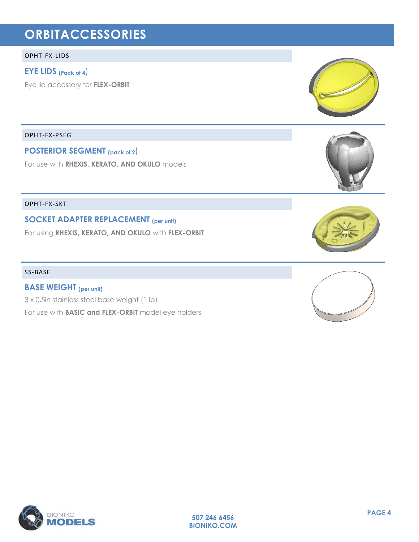## <span id="page-3-0"></span>**ORBITACCESSORIES**

#### <span id="page-3-1"></span>OPHT-FX-LIDS

#### **EYE LIDS (Pack of 4**)

Eye lid accessory for **FLEX-ORBIT**

<span id="page-3-2"></span>OPHT-FX-PSEG

**POSTERIOR SEGMENT (pack of 2**)

For use with **RHEXIS, KERATO, AND OKULO** models

<span id="page-3-3"></span>OPHT-FX-SKT

**SOCKET ADAPTER REPLACEMENT (per unit)**

For using **RHEXIS, KERATO, AND OKULO** with **FLEX-ORBIT**

#### <span id="page-3-4"></span>SS-BASE

**BASE WEIGHT (per unit)** 3 x 0.5in stainless steel base weight (1 lb) For use with **BASIC and FLEX-ORBIT** model eye holders

**1 BIONIKO PAGE 4** LS









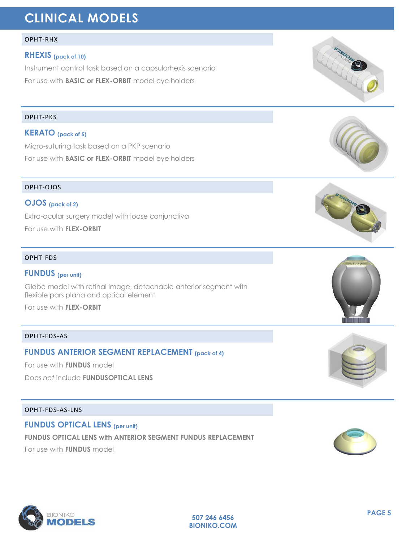## <span id="page-4-0"></span>**CLINICAL MODELS**

#### <span id="page-4-1"></span>OPHT-RHX

#### **RHEXIS (pack of 10)**

Instrument control task based on a capsulorhexis scenario

For use with **BASIC or FLEX-ORBIT** model eye holders

#### <span id="page-4-2"></span>OPHT-PKS

### **KERATO (pack of 5)**

Micro-suturing task based on a PKP scenario For use with **BASIC or FLEX-ORBIT** model eye holders

#### <span id="page-4-3"></span>OPHT-OJOS

### **OJOS (pack of 2)**

Extra-ocular surgery model with loose conjunctiva

For use with **FLEX-ORBIT**

#### <span id="page-4-4"></span>OPHT-FDS

#### **FUNDUS (per unit)**

Globe model with retinal image, detachable anterior segment with flexible pars plana and optical element

For use with **FLEX-ORBIT**

#### <span id="page-4-5"></span>OPHT-FDS-AS

## **FUNDUS ANTERIOR SEGMENT REPLACEMENT (pack of 4)**

For use with **FUNDUS** model

Does *not* include **FUNDUSOPTICAL LENS**

#### <span id="page-4-6"></span>OPHT-FDS-AS-LNS

## **FUNDUS OPTICAL LENS (per unit) FUNDUS OPTICAL LENS with ANTERIOR SEGMENT FUNDUS REPLACEMENT**

**507 246 6456 BIONIKO.COM**

For use with **FUNDUS** model















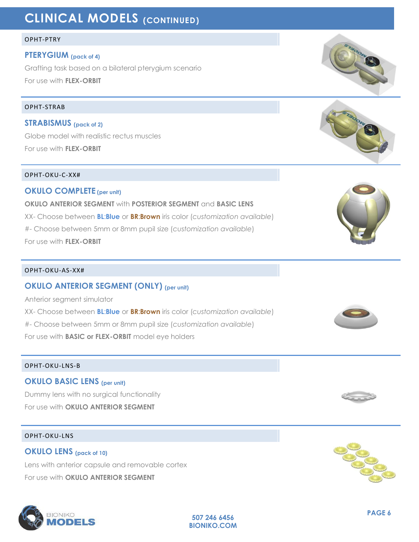## <span id="page-5-0"></span>**CLINICAL MODELS (CONTINUED)**

#### <span id="page-5-1"></span>OPHT-PTRY

#### **PTERYGIUM (pack of 4)**

Grafting task based on a bilateral pterygium scenario For use with **FLEX-ORBIT**

#### <span id="page-5-2"></span>OPHT-STRAB

**STRABISMUS (pack of 2)** Globe model with realistic rectus muscles For use with **FLEX-ORBIT** 

#### <span id="page-5-3"></span>OPHT-OKU-C-XX#

**OKULO COMPLETE (per unit) OKULO ANTERIOR SEGMENT** with **POSTERIOR SEGMENT** and **BASIC LENS** XX- Choose between **BL**:**Blue** or **BR**:**Brown** iris color (*customization available*) #- Choose between 5mm or 8mm pupil size (*customization available*) For use with **FLEX-ORBIT**

#### <span id="page-5-4"></span>OPHT-OKU-AS-XX#

#### **OKULO ANTERIOR SEGMENT (ONLY) (per unit)**

Anterior segment simulator XX- Choose between **BL**:**Blue** or **BR**:**Brown** iris color (*customization available*) #- Choose between 5mm or 8mm pupil size (*customization available*) For use with **BASIC or FLEX-ORBIT** model eye holders

#### <span id="page-5-5"></span>OPHT-OKU-LNS-B

#### **OKULO BASIC LENS (per unit)**

Dummy lens with no surgical functionality For use with **OKULO ANTERIOR SEGMENT**

#### <span id="page-5-6"></span>OPHT-OKU-LNS

## **OKULO LENS (pack of 10)** Lens with anterior capsule and removable cortex For use with **OKULO ANTERIOR SEGMENT**















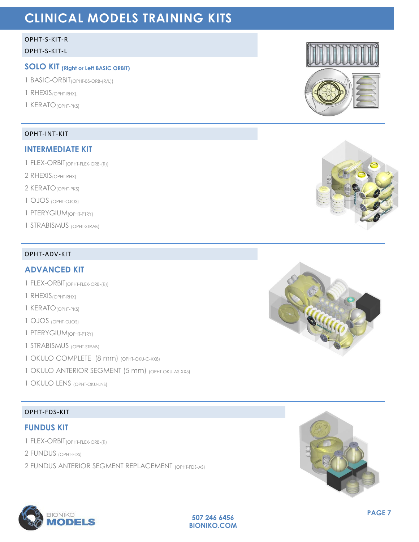## <span id="page-6-0"></span>**CLINICAL MODELS TRAINING KITS**

#### <span id="page-6-1"></span>OPHT-S-KIT-R

#### <span id="page-6-2"></span>OPHT-S-KIT-L

### **SOLO KIT (Right or Left BASIC ORBIT)**

- 1 BASIC-ORBIT(OPHT-BS-ORB-(R/L))
- 1 RHEXIS(OPHT-RHX),
- 1 KERATO(OPHT-PKS)

#### <span id="page-6-3"></span>OPHT-INT-KIT

#### **INTERMEDIATE KIT**

- 1 FLEX-ORBIT(OPHT-FLEX-ORB-(R))
- 2 RHEXIS(OPHT-RHX)
- 2 KERATO(OPHT-PKS)
- 1 OJOS (OPHT-OJOS)
- 1 PTERYGIUM(OPHT-PTRY)
- 1 STRABISMUS (OPHT-STRAB)

#### <span id="page-6-4"></span>OPHT-ADV-KIT

#### **ADVANCED KIT**

- 1 FLEX-ORBIT(OPHT-FLEX-ORB-(R))
- 1 RHEXIS(OPHT-RHX)
- 1 KERATO(OPHT-PKS)
- 1 OJOS (OPHT-OJOS)
- 1 PTERYGIUM(OPHT-PTRY)
- 1 STRABISMUS (OPHT-STRAB)
- 1 OKULO COMPLETE (8 mm) (OPHT-OKU-C-XX8)
- 1 OKULO ANTERIOR SEGMENT (5 mm) (OPHT-OKU-AS-XX5)
- 1 OKULO LENS (OPHT-OKU-LNS)

### <span id="page-6-5"></span>OPHT-FDS-KIT

#### **FUNDUS KIT**

- 1 FLEX-ORBIT(OPHT-FLEX-ORB-(R)
- 2 FUNDUS (OPHT-FDS)
- 2 FUNDUS ANTERIOR SEGMENT REPLACEMENT (OPHT-FDS-AS)